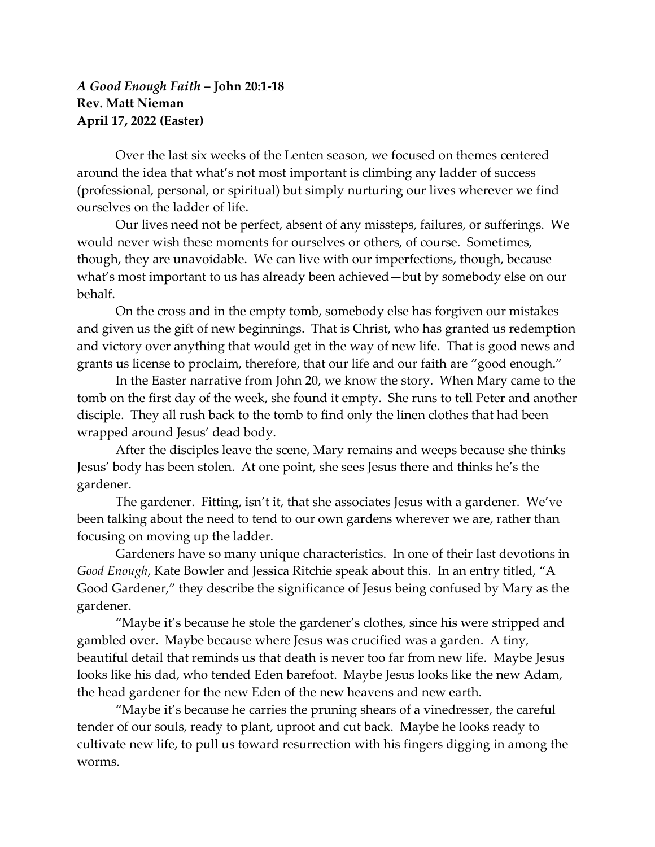## *A Good Enough Faith* **– John 20:1-18 Rev. Matt Nieman April 17, 2022 (Easter)**

Over the last six weeks of the Lenten season, we focused on themes centered around the idea that what's not most important is climbing any ladder of success (professional, personal, or spiritual) but simply nurturing our lives wherever we find ourselves on the ladder of life.

Our lives need not be perfect, absent of any missteps, failures, or sufferings. We would never wish these moments for ourselves or others, of course. Sometimes, though, they are unavoidable. We can live with our imperfections, though, because what's most important to us has already been achieved—but by somebody else on our behalf.

On the cross and in the empty tomb, somebody else has forgiven our mistakes and given us the gift of new beginnings. That is Christ, who has granted us redemption and victory over anything that would get in the way of new life. That is good news and grants us license to proclaim, therefore, that our life and our faith are "good enough."

In the Easter narrative from John 20, we know the story. When Mary came to the tomb on the first day of the week, she found it empty. She runs to tell Peter and another disciple. They all rush back to the tomb to find only the linen clothes that had been wrapped around Jesus' dead body.

After the disciples leave the scene, Mary remains and weeps because she thinks Jesus' body has been stolen. At one point, she sees Jesus there and thinks he's the gardener.

The gardener. Fitting, isn't it, that she associates Jesus with a gardener. We've been talking about the need to tend to our own gardens wherever we are, rather than focusing on moving up the ladder.

Gardeners have so many unique characteristics. In one of their last devotions in *Good Enough*, Kate Bowler and Jessica Ritchie speak about this. In an entry titled, "A Good Gardener," they describe the significance of Jesus being confused by Mary as the gardener.

"Maybe it's because he stole the gardener's clothes, since his were stripped and gambled over. Maybe because where Jesus was crucified was a garden. A tiny, beautiful detail that reminds us that death is never too far from new life. Maybe Jesus looks like his dad, who tended Eden barefoot. Maybe Jesus looks like the new Adam, the head gardener for the new Eden of the new heavens and new earth.

"Maybe it's because he carries the pruning shears of a vinedresser, the careful tender of our souls, ready to plant, uproot and cut back. Maybe he looks ready to cultivate new life, to pull us toward resurrection with his fingers digging in among the worms.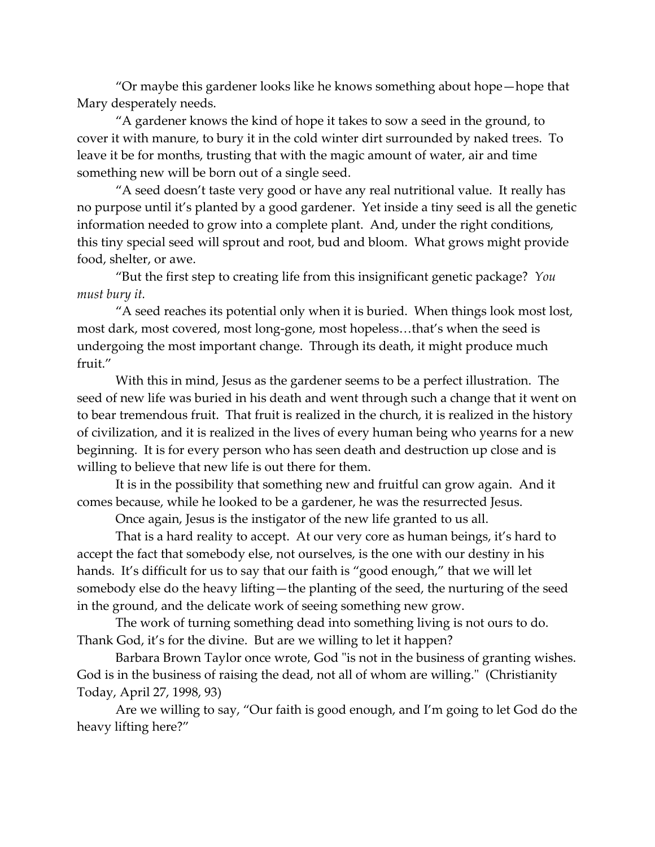"Or maybe this gardener looks like he knows something about hope—hope that Mary desperately needs.

"A gardener knows the kind of hope it takes to sow a seed in the ground, to cover it with manure, to bury it in the cold winter dirt surrounded by naked trees. To leave it be for months, trusting that with the magic amount of water, air and time something new will be born out of a single seed.

"A seed doesn't taste very good or have any real nutritional value. It really has no purpose until it's planted by a good gardener. Yet inside a tiny seed is all the genetic information needed to grow into a complete plant. And, under the right conditions, this tiny special seed will sprout and root, bud and bloom. What grows might provide food, shelter, or awe.

"But the first step to creating life from this insignificant genetic package? *You must bury it.*

"A seed reaches its potential only when it is buried. When things look most lost, most dark, most covered, most long-gone, most hopeless…that's when the seed is undergoing the most important change. Through its death, it might produce much fruit."

With this in mind, Jesus as the gardener seems to be a perfect illustration. The seed of new life was buried in his death and went through such a change that it went on to bear tremendous fruit. That fruit is realized in the church, it is realized in the history of civilization, and it is realized in the lives of every human being who yearns for a new beginning. It is for every person who has seen death and destruction up close and is willing to believe that new life is out there for them.

It is in the possibility that something new and fruitful can grow again. And it comes because, while he looked to be a gardener, he was the resurrected Jesus.

Once again, Jesus is the instigator of the new life granted to us all.

That is a hard reality to accept. At our very core as human beings, it's hard to accept the fact that somebody else, not ourselves, is the one with our destiny in his hands. It's difficult for us to say that our faith is "good enough," that we will let somebody else do the heavy lifting—the planting of the seed, the nurturing of the seed in the ground, and the delicate work of seeing something new grow.

The work of turning something dead into something living is not ours to do. Thank God, it's for the divine. But are we willing to let it happen?

Barbara Brown Taylor once wrote, God "is not in the business of granting wishes. God is in the business of raising the dead, not all of whom are willing." (Christianity Today, April 27, 1998, 93)

Are we willing to say, "Our faith is good enough, and I'm going to let God do the heavy lifting here?"